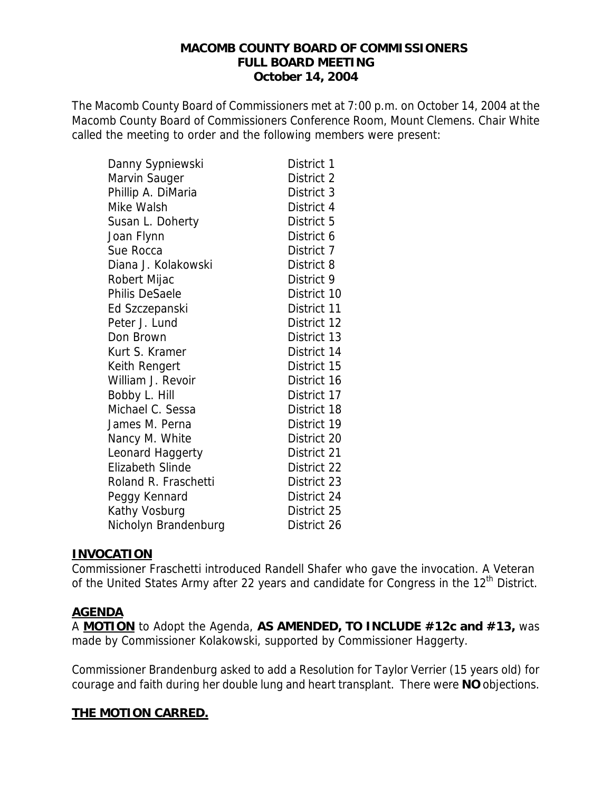#### **MACOMB COUNTY BOARD OF COMMISSIONERS FULL BOARD MEETING October 14, 2004**

The Macomb County Board of Commissioners met at 7:00 p.m. on October 14, 2004 at the Macomb County Board of Commissioners Conference Room, Mount Clemens. Chair White called the meeting to order and the following members were present:

| Danny Sypniewski        | District 1  |
|-------------------------|-------------|
| Marvin Sauger           | District 2  |
| Phillip A. DiMaria      | District 3  |
| Mike Walsh              | District 4  |
| Susan L. Doherty        | District 5  |
| Joan Flynn              | District 6  |
| Sue Rocca               | District 7  |
| Diana J. Kolakowski     | District 8  |
| Robert Mijac            | District 9  |
| <b>Philis DeSaele</b>   | District 10 |
| Ed Szczepanski          | District 11 |
| Peter J. Lund           | District 12 |
| Don Brown               | District 13 |
| Kurt S. Kramer          | District 14 |
| Keith Rengert           | District 15 |
| William J. Revoir       | District 16 |
| Bobby L. Hill           | District 17 |
| Michael C. Sessa        | District 18 |
| James M. Perna          | District 19 |
| Nancy M. White          | District 20 |
| Leonard Haggerty        | District 21 |
| <b>Elizabeth Slinde</b> | District 22 |
| Roland R. Fraschetti    | District 23 |
| Peggy Kennard           | District 24 |
| Kathy Vosburg           | District 25 |
| Nicholyn Brandenburg    | District 26 |

### **INVOCATION**

Commissioner Fraschetti introduced Randell Shafer who gave the invocation. A Veteran of the United States Army after 22 years and candidate for Congress in the 12<sup>th</sup> District.

### **AGENDA**

A **MOTION** to Adopt the Agenda, **AS AMENDED, TO INCLUDE #12c and #13,** was made by Commissioner Kolakowski, supported by Commissioner Haggerty.

Commissioner Brandenburg asked to add a Resolution for Taylor Verrier (15 years old) for courage and faith during her double lung and heart transplant. There were **NO** objections.

# **THE MOTION CARRED.**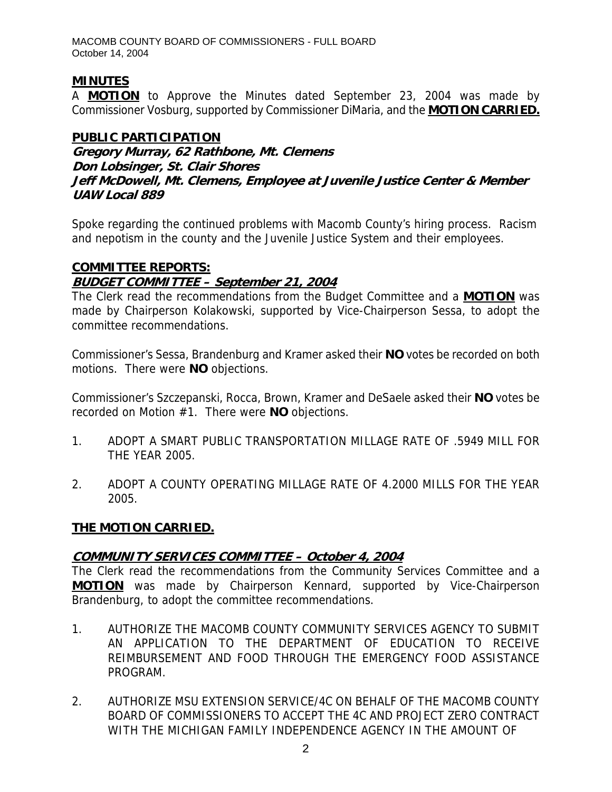MACOMB COUNTY BOARD OF COMMISSIONERS - FULL BOARD October 14, 2004

# **MINUTES**

A **MOTION** to Approve the Minutes dated September 23, 2004 was made by Commissioner Vosburg, supported by Commissioner DiMaria, and the **MOTION CARRIED.**

# **PUBLIC PARTICIPATION**

**Gregory Murray, 62 Rathbone, Mt. Clemens Don Lobsinger, St. Clair Shores Jeff McDowell, Mt. Clemens, Employee at Juvenile Justice Center & Member UAW Local 889** 

Spoke regarding the continued problems with Macomb County's hiring process. Racism and nepotism in the county and the Juvenile Justice System and their employees.

# **COMMITTEE REPORTS:**

# **BUDGET COMMITTEE – September 21, 2004**

The Clerk read the recommendations from the Budget Committee and a **MOTION** was made by Chairperson Kolakowski, supported by Vice-Chairperson Sessa, to adopt the committee recommendations.

Commissioner's Sessa, Brandenburg and Kramer asked their **NO** votes be recorded on both motions. There were **NO** objections.

Commissioner's Szczepanski, Rocca, Brown, Kramer and DeSaele asked their **NO** votes be recorded on Motion #1. There were **NO** objections.

- 1. ADOPT A SMART PUBLIC TRANSPORTATION MILLAGE RATE OF .5949 MILL FOR THE YEAR 2005.
- 2. ADOPT A COUNTY OPERATING MILLAGE RATE OF 4.2000 MILLS FOR THE YEAR 2005.

# **THE MOTION CARRIED.**

# **COMMUNITY SERVICES COMMITTEE – October 4, 2004**

The Clerk read the recommendations from the Community Services Committee and a **MOTION** was made by Chairperson Kennard, supported by Vice-Chairperson Brandenburg, to adopt the committee recommendations.

- 1. AUTHORIZE THE MACOMB COUNTY COMMUNITY SERVICES AGENCY TO SUBMIT AN APPLICATION TO THE DEPARTMENT OF EDUCATION TO RECEIVE REIMBURSEMENT AND FOOD THROUGH THE EMERGENCY FOOD ASSISTANCE PROGRAM.
- 2. AUTHORIZE MSU EXTENSION SERVICE/4C ON BEHALF OF THE MACOMB COUNTY BOARD OF COMMISSIONERS TO ACCEPT THE 4C AND PROJECT ZERO CONTRACT WITH THE MICHIGAN FAMILY INDEPENDENCE AGENCY IN THE AMOUNT OF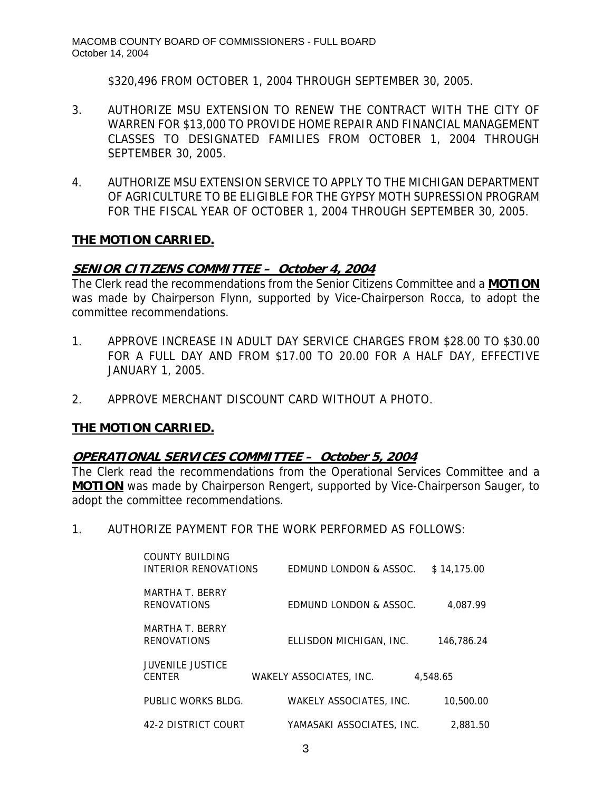\$320,496 FROM OCTOBER 1, 2004 THROUGH SEPTEMBER 30, 2005.

- 3. AUTHORIZE MSU EXTENSION TO RENEW THE CONTRACT WITH THE CITY OF WARREN FOR \$13,000 TO PROVIDE HOME REPAIR AND FINANCIAL MANAGEMENT CLASSES TO DESIGNATED FAMILIES FROM OCTOBER 1, 2004 THROUGH SEPTEMBER 30, 2005.
- 4. AUTHORIZE MSU EXTENSION SERVICE TO APPLY TO THE MICHIGAN DEPARTMENT OF AGRICULTURE TO BE ELIGIBLE FOR THE GYPSY MOTH SUPRESSION PROGRAM FOR THE FISCAL YEAR OF OCTOBER 1, 2004 THROUGH SEPTEMBER 30, 2005.

# **THE MOTION CARRIED.**

# **SENIOR CITIZENS COMMITTEE – October 4, 2004**

The Clerk read the recommendations from the Senior Citizens Committee and a **MOTION** was made by Chairperson Flynn, supported by Vice-Chairperson Rocca, to adopt the committee recommendations.

- 1. APPROVE INCREASE IN ADULT DAY SERVICE CHARGES FROM \$28.00 TO \$30.00 FOR A FULL DAY AND FROM \$17.00 TO 20.00 FOR A HALF DAY, EFFECTIVE JANUARY 1, 2005.
- 2. APPROVE MERCHANT DISCOUNT CARD WITHOUT A PHOTO.

# **THE MOTION CARRIED.**

### **OPERATIONAL SERVICES COMMITTEE – October 5, 2004**

The Clerk read the recommendations from the Operational Services Committee and a **MOTION** was made by Chairperson Rengert, supported by Vice-Chairperson Sauger, to adopt the committee recommendations.

1. AUTHORIZE PAYMENT FOR THE WORK PERFORMED AS FOLLOWS:

| COUNTY BUILDING<br>INTERIOR RENOVATIONS  | EDMUND LONDON & ASSOC.         | \$14,175.00 |
|------------------------------------------|--------------------------------|-------------|
| MARTHA T. BERRY<br><b>RENOVATIONS</b>    | EDMUND LONDON & ASSOC.         | 4.087.99    |
| MARTHA T. BERRY<br><b>RENOVATIONS</b>    | ELLISDON MICHIGAN, INC.        | 146.786.24  |
| <b>JUVENILE JUSTICE</b><br><b>CENTER</b> | WAKELY ASSOCIATES, INC.        | 4,548.65    |
| PUBLIC WORKS BLDG.                       | <b>WAKELY ASSOCIATES, INC.</b> | 10,500.00   |
| 42-2 DISTRICT COURT                      | YAMASAKI ASSOCIATES, INC.      | 2.881.50    |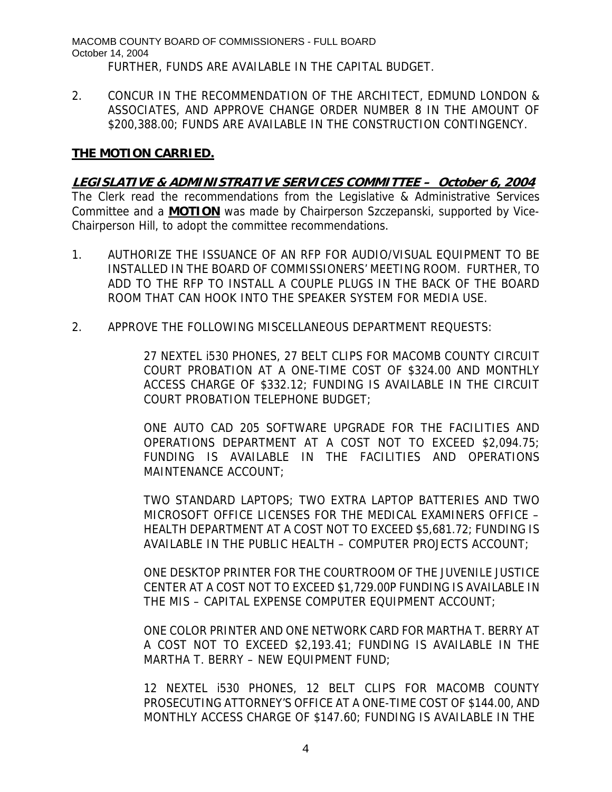MACOMB COUNTY BOARD OF COMMISSIONERS - FULL BOARD October 14, 2004 FURTHER, FUNDS ARE AVAILABLE IN THE CAPITAL BUDGET.

2. CONCUR IN THE RECOMMENDATION OF THE ARCHITECT, EDMUND LONDON & ASSOCIATES, AND APPROVE CHANGE ORDER NUMBER 8 IN THE AMOUNT OF \$200,388.00; FUNDS ARE AVAILABLE IN THE CONSTRUCTION CONTINGENCY.

### **THE MOTION CARRIED.**

**LEGISLATIVE & ADMINISTRATIVE SERVICES COMMITTEE – October 6, 2004**

The Clerk read the recommendations from the Legislative & Administrative Services Committee and a **MOTION** was made by Chairperson Szczepanski, supported by Vice-Chairperson Hill, to adopt the committee recommendations.

- 1. AUTHORIZE THE ISSUANCE OF AN RFP FOR AUDIO/VISUAL EQUIPMENT TO BE INSTALLED IN THE BOARD OF COMMISSIONERS' MEETING ROOM. FURTHER, TO ADD TO THE RFP TO INSTALL A COUPLE PLUGS IN THE BACK OF THE BOARD ROOM THAT CAN HOOK INTO THE SPEAKER SYSTEM FOR MEDIA USE.
- 2. APPROVE THE FOLLOWING MISCELLANEOUS DEPARTMENT REQUESTS:

27 NEXTEL i530 PHONES, 27 BELT CLIPS FOR MACOMB COUNTY CIRCUIT COURT PROBATION AT A ONE-TIME COST OF \$324.00 AND MONTHLY ACCESS CHARGE OF \$332.12; FUNDING IS AVAILABLE IN THE CIRCUIT COURT PROBATION TELEPHONE BUDGET;

ONE AUTO CAD 205 SOFTWARE UPGRADE FOR THE FACILITIES AND OPERATIONS DEPARTMENT AT A COST NOT TO EXCEED \$2,094.75; FUNDING IS AVAILABLE IN THE FACILITIES AND OPERATIONS MAINTENANCE ACCOUNT;

TWO STANDARD LAPTOPS; TWO EXTRA LAPTOP BATTERIES AND TWO MICROSOFT OFFICE LICENSES FOR THE MEDICAL EXAMINERS OFFICE – HEALTH DEPARTMENT AT A COST NOT TO EXCEED \$5,681.72; FUNDING IS AVAILABLE IN THE PUBLIC HEALTH – COMPUTER PROJECTS ACCOUNT;

ONE DESKTOP PRINTER FOR THE COURTROOM OF THE JUVENILE JUSTICE CENTER AT A COST NOT TO EXCEED \$1,729.00P FUNDING IS AVAILABLE IN THE MIS – CAPITAL EXPENSE COMPUTER EQUIPMENT ACCOUNT;

ONE COLOR PRINTER AND ONE NETWORK CARD FOR MARTHA T. BERRY AT A COST NOT TO EXCEED \$2,193.41; FUNDING IS AVAILABLE IN THE MARTHA T. BERRY – NEW EQUIPMENT FUND;

12 NEXTEL i530 PHONES, 12 BELT CLIPS FOR MACOMB COUNTY PROSECUTING ATTORNEY'S OFFICE AT A ONE-TIME COST OF \$144.00, AND MONTHLY ACCESS CHARGE OF \$147.60; FUNDING IS AVAILABLE IN THE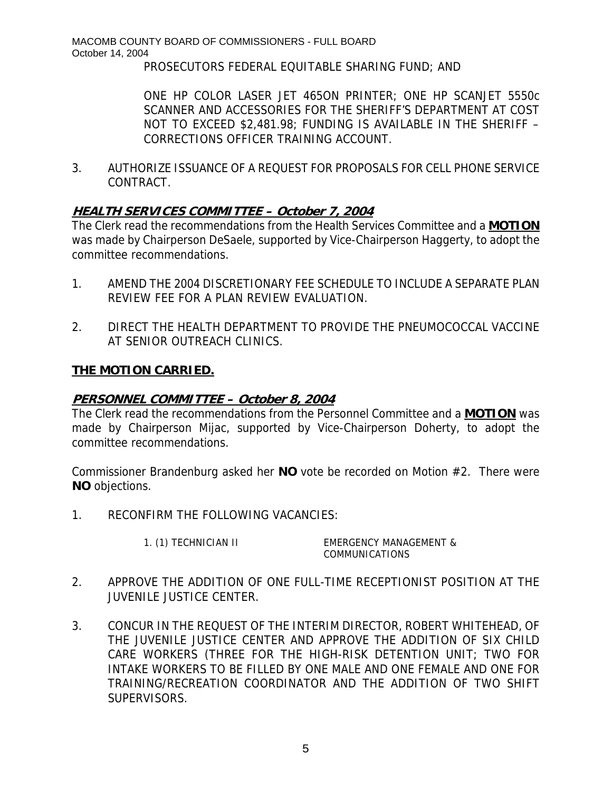PROSECUTORS FEDERAL EQUITABLE SHARING FUND; AND

ONE HP COLOR LASER JET 465ON PRINTER; ONE HP SCANJET 5550c SCANNER AND ACCESSORIES FOR THE SHERIFF'S DEPARTMENT AT COST NOT TO EXCEED \$2,481.98; FUNDING IS AVAILABLE IN THE SHERIFF – CORRECTIONS OFFICER TRAINING ACCOUNT.

3. AUTHORIZE ISSUANCE OF A REQUEST FOR PROPOSALS FOR CELL PHONE SERVICE CONTRACT.

# **HEALTH SERVICES COMMITTEE – October 7, 2004**

The Clerk read the recommendations from the Health Services Committee and a **MOTION** was made by Chairperson DeSaele, supported by Vice-Chairperson Haggerty, to adopt the committee recommendations.

- 1. AMEND THE 2004 DISCRETIONARY FEE SCHEDULE TO INCLUDE A SEPARATE PLAN REVIEW FEE FOR A PLAN REVIEW EVALUATION.
- 2. DIRECT THE HEALTH DEPARTMENT TO PROVIDE THE PNEUMOCOCCAL VACCINE AT SENIOR OUTREACH CLINICS.

# **THE MOTION CARRIED.**

### **PERSONNEL COMMITTEE – October 8, 2004**

The Clerk read the recommendations from the Personnel Committee and a **MOTION** was made by Chairperson Mijac, supported by Vice-Chairperson Doherty, to adopt the committee recommendations.

Commissioner Brandenburg asked her **NO** vote be recorded on Motion #2. There were **NO** objections.

1. RECONFIRM THE FOLLOWING VACANCIES:

1. (1) TECHNICIAN II EMERGENCY MANAGEMENT & COMMUNICATIONS

- 2. APPROVE THE ADDITION OF ONE FULL-TIME RECEPTIONIST POSITION AT THE JUVENILE JUSTICE CENTER.
- 3. CONCUR IN THE REQUEST OF THE INTERIM DIRECTOR, ROBERT WHITEHEAD, OF THE JUVENILE JUSTICE CENTER AND APPROVE THE ADDITION OF SIX CHILD CARE WORKERS (THREE FOR THE HIGH-RISK DETENTION UNIT; TWO FOR INTAKE WORKERS TO BE FILLED BY ONE MALE AND ONE FEMALE AND ONE FOR TRAINING/RECREATION COORDINATOR AND THE ADDITION OF TWO SHIFT SUPERVISORS.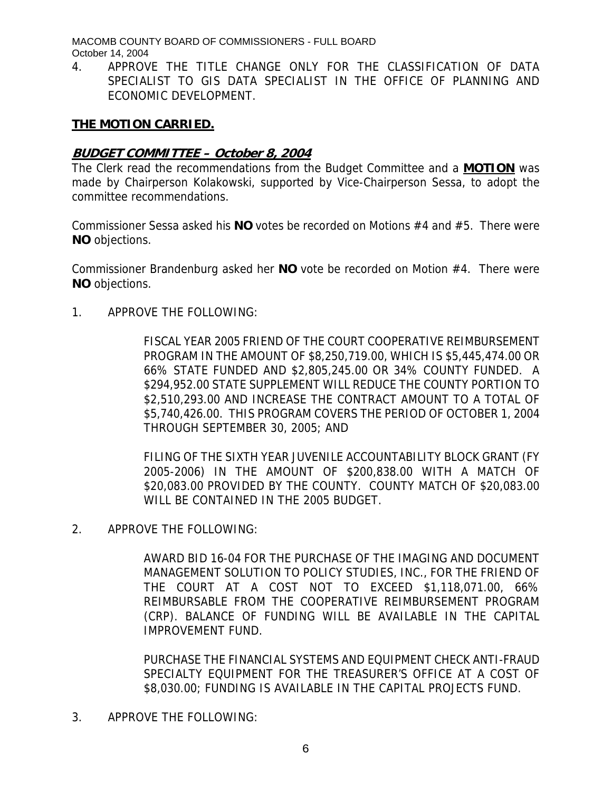MACOMB COUNTY BOARD OF COMMISSIONERS - FULL BOARD October 14, 2004

4. APPROVE THE TITLE CHANGE ONLY FOR THE CLASSIFICATION OF DATA SPECIALIST TO GIS DATA SPECIALIST IN THE OFFICE OF PLANNING AND ECONOMIC DEVELOPMENT.

# **THE MOTION CARRIED.**

### **BUDGET COMMITTEE – October 8, 2004**

The Clerk read the recommendations from the Budget Committee and a **MOTION** was made by Chairperson Kolakowski, supported by Vice-Chairperson Sessa, to adopt the committee recommendations.

Commissioner Sessa asked his **NO** votes be recorded on Motions #4 and #5. There were **NO** objections.

Commissioner Brandenburg asked her **NO** vote be recorded on Motion #4. There were **NO** objections.

1. APPROVE THE FOLLOWING:

FISCAL YEAR 2005 FRIEND OF THE COURT COOPERATIVE REIMBURSEMENT PROGRAM IN THE AMOUNT OF \$8,250,719.00, WHICH IS \$5,445,474.00 OR 66% STATE FUNDED AND \$2,805,245.00 OR 34% COUNTY FUNDED. A \$294,952.00 STATE SUPPLEMENT WILL REDUCE THE COUNTY PORTION TO \$2,510,293.00 AND INCREASE THE CONTRACT AMOUNT TO A TOTAL OF \$5,740,426.00. THIS PROGRAM COVERS THE PERIOD OF OCTOBER 1, 2004 THROUGH SEPTEMBER 30, 2005; AND

FILING OF THE SIXTH YEAR JUVENILE ACCOUNTABILITY BLOCK GRANT (FY 2005-2006) IN THE AMOUNT OF \$200,838.00 WITH A MATCH OF \$20,083.00 PROVIDED BY THE COUNTY. COUNTY MATCH OF \$20,083.00 WILL BE CONTAINED IN THE 2005 BUDGET.

2. APPROVE THE FOLLOWING:

AWARD BID 16-04 FOR THE PURCHASE OF THE IMAGING AND DOCUMENT MANAGEMENT SOLUTION TO POLICY STUDIES, INC., FOR THE FRIEND OF THE COURT AT A COST NOT TO EXCEED \$1,118,071.00, 66% REIMBURSABLE FROM THE COOPERATIVE REIMBURSEMENT PROGRAM (CRP). BALANCE OF FUNDING WILL BE AVAILABLE IN THE CAPITAL IMPROVEMENT FUND.

PURCHASE THE FINANCIAL SYSTEMS AND EQUIPMENT CHECK ANTI-FRAUD SPECIALTY EQUIPMENT FOR THE TREASURER'S OFFICE AT A COST OF \$8,030.00; FUNDING IS AVAILABLE IN THE CAPITAL PROJECTS FUND.

3. APPROVE THE FOLLOWING: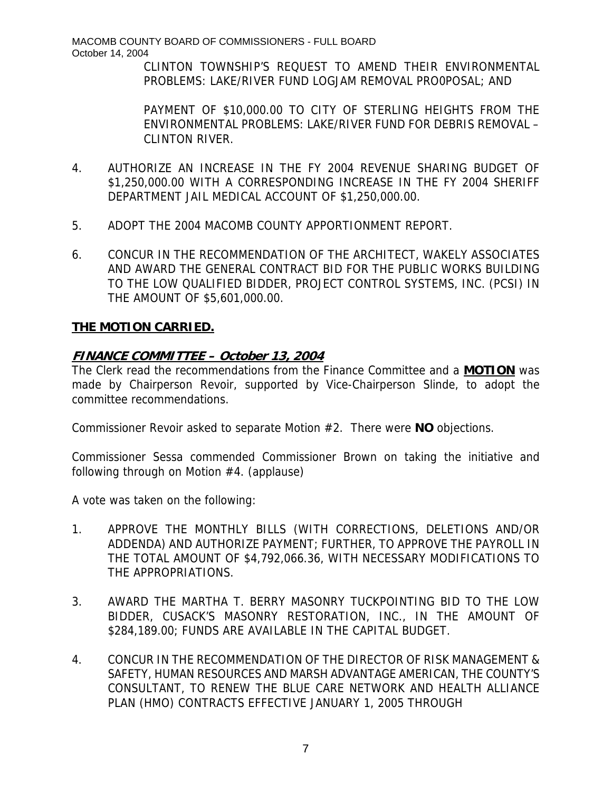MACOMB COUNTY BOARD OF COMMISSIONERS - FULL BOARD October 14, 2004

> CLINTON TOWNSHIP'S REQUEST TO AMEND THEIR ENVIRONMENTAL PROBLEMS: LAKE/RIVER FUND LOGJAM REMOVAL PRO0POSAL; AND

> PAYMENT OF \$10,000.00 TO CITY OF STERLING HEIGHTS FROM THE ENVIRONMENTAL PROBLEMS: LAKE/RIVER FUND FOR DEBRIS REMOVAL – CLINTON RIVER.

- 4. AUTHORIZE AN INCREASE IN THE FY 2004 REVENUE SHARING BUDGET OF \$1,250,000.00 WITH A CORRESPONDING INCREASE IN THE FY 2004 SHERIFF DEPARTMENT JAIL MEDICAL ACCOUNT OF \$1,250,000.00.
- 5. ADOPT THE 2004 MACOMB COUNTY APPORTIONMENT REPORT.
- 6. CONCUR IN THE RECOMMENDATION OF THE ARCHITECT, WAKELY ASSOCIATES AND AWARD THE GENERAL CONTRACT BID FOR THE PUBLIC WORKS BUILDING TO THE LOW QUALIFIED BIDDER, PROJECT CONTROL SYSTEMS, INC. (PCSI) IN THE AMOUNT OF \$5,601,000.00.

### **THE MOTION CARRIED.**

# **FINANCE COMMITTEE – October 13, 2004**

The Clerk read the recommendations from the Finance Committee and a **MOTION** was made by Chairperson Revoir, supported by Vice-Chairperson Slinde, to adopt the committee recommendations.

Commissioner Revoir asked to separate Motion #2. There were **NO** objections.

Commissioner Sessa commended Commissioner Brown on taking the initiative and following through on Motion #4. (applause)

A vote was taken on the following:

- 1. APPROVE THE MONTHLY BILLS (WITH CORRECTIONS, DELETIONS AND/OR ADDENDA) AND AUTHORIZE PAYMENT; FURTHER, TO APPROVE THE PAYROLL IN THE TOTAL AMOUNT OF \$4,792,066.36, WITH NECESSARY MODIFICATIONS TO THE APPROPRIATIONS.
- 3. AWARD THE MARTHA T. BERRY MASONRY TUCKPOINTING BID TO THE LOW BIDDER, CUSACK'S MASONRY RESTORATION, INC., IN THE AMOUNT OF \$284,189.00; FUNDS ARE AVAILABLE IN THE CAPITAL BUDGET.
- 4. CONCUR IN THE RECOMMENDATION OF THE DIRECTOR OF RISK MANAGEMENT & SAFETY, HUMAN RESOURCES AND MARSH ADVANTAGE AMERICAN, THE COUNTY'S CONSULTANT, TO RENEW THE BLUE CARE NETWORK AND HEALTH ALLIANCE PLAN (HMO) CONTRACTS EFFECTIVE JANUARY 1, 2005 THROUGH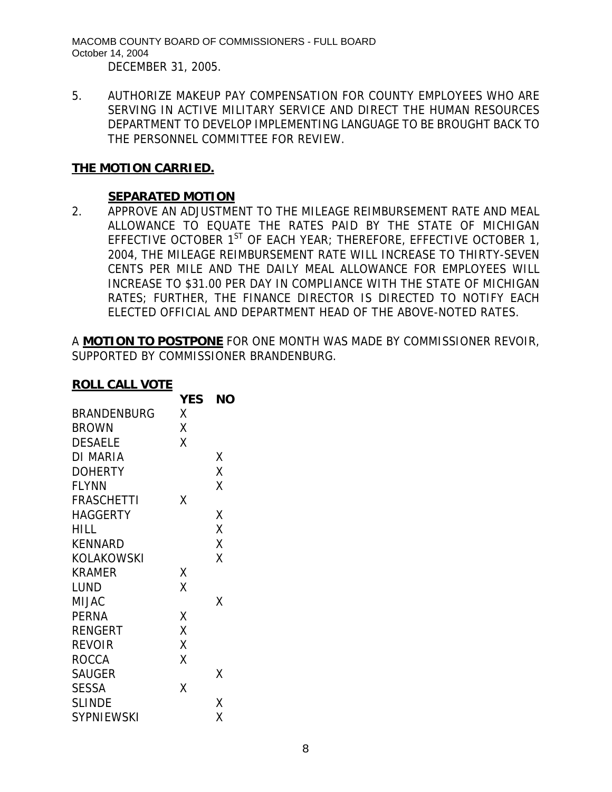MACOMB COUNTY BOARD OF COMMISSIONERS - FULL BOARD October 14, 2004 DECEMBER 31, 2005.

5. AUTHORIZE MAKEUP PAY COMPENSATION FOR COUNTY EMPLOYEES WHO ARE SERVING IN ACTIVE MILITARY SERVICE AND DIRECT THE HUMAN RESOURCES DEPARTMENT TO DEVELOP IMPLEMENTING LANGUAGE TO BE BROUGHT BACK TO THE PERSONNEL COMMITTEE FOR REVIEW.

# **THE MOTION CARRIED.**

### **SEPARATED MOTION**

2. APPROVE AN ADJUSTMENT TO THE MILEAGE REIMBURSEMENT RATE AND MEAL ALLOWANCE TO EQUATE THE RATES PAID BY THE STATE OF MICHIGAN EFFECTIVE OCTOBER  $1^{ST}$  OF EACH YEAR; THEREFORE, EFFECTIVE OCTOBER 1, 2004, THE MILEAGE REIMBURSEMENT RATE WILL INCREASE TO THIRTY-SEVEN CENTS PER MILE AND THE DAILY MEAL ALLOWANCE FOR EMPLOYEES WILL INCREASE TO \$31.00 PER DAY IN COMPLIANCE WITH THE STATE OF MICHIGAN RATES; FURTHER, THE FINANCE DIRECTOR IS DIRECTED TO NOTIFY EACH ELECTED OFFICIAL AND DEPARTMENT HEAD OF THE ABOVE-NOTED RATES.

A **MOTION TO POSTPONE** FOR ONE MONTH WAS MADE BY COMMISSIONER REVOIR, SUPPORTED BY COMMISSIONER BRANDENBURG.

#### **ROLL CALL VOTE**

|                | <b>YES</b> | NΟ |
|----------------|------------|----|
| BRANDENBURG    | Χ          |    |
| <b>BROWN</b>   | Χ          |    |
| <b>DESAELE</b> | X          |    |
| DI MARIA       |            | Χ  |
| <b>DOHERTY</b> |            | X  |
| <b>FLYNN</b>   |            | Χ  |
| FRASCHETTI     | χ          |    |
| HAGGERTY       |            | Χ  |
| HILL           |            | Χ  |
| KENNARD        |            | X  |
| KOLAKOWSKI     |            | Χ  |
| <b>KRAMER</b>  | Χ          |    |
| LUND           | X          |    |
| MIJAC          |            | χ  |
| <b>PERNA</b>   | Χ          |    |
| RENGERT        | X          |    |
| REVOIR         | X          |    |
| ROCCA          | Χ          |    |
| <b>SAUGER</b>  |            | Χ  |
| <b>SESSA</b>   | Χ          |    |
| <b>SLINDE</b>  |            | Χ  |
| SYPNIEWSKI     |            | Χ  |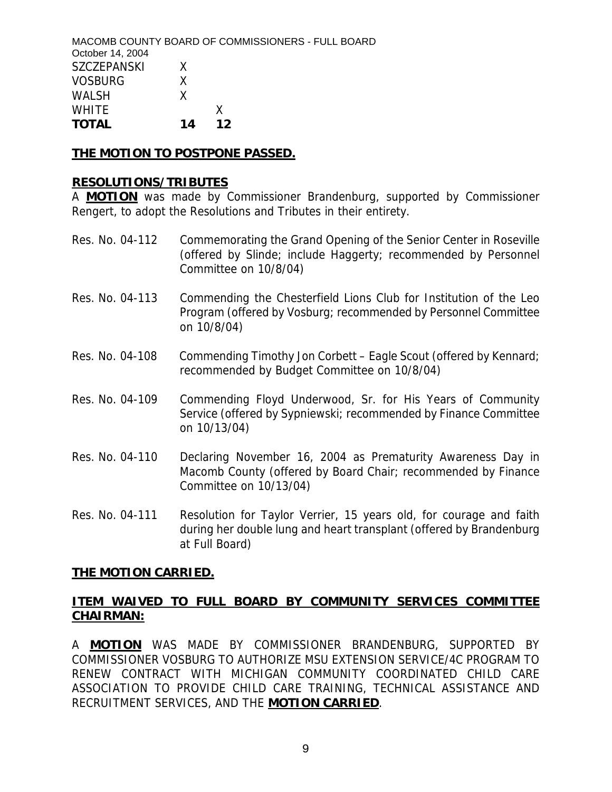|                    |    | MACOMB COUNTY BOARD OF COMMISSIONERS - FULL BOARD |  |
|--------------------|----|---------------------------------------------------|--|
| October 14, 2004   |    |                                                   |  |
| <b>SZCZEPANSKI</b> | x  |                                                   |  |
| <b>VOSBURG</b>     | x. |                                                   |  |
| <b>WALSH</b>       | x. |                                                   |  |
| <b>WHITE</b>       |    |                                                   |  |
| <b>TOTAL</b>       | 14 | 12                                                |  |

#### **THE MOTION TO POSTPONE PASSED.**

#### **RESOLUTIONS/TRIBUTES**

A **MOTION** was made by Commissioner Brandenburg, supported by Commissioner Rengert, to adopt the Resolutions and Tributes in their entirety.

- Res. No. 04-112 Commemorating the Grand Opening of the Senior Center in Roseville (offered by Slinde; include Haggerty; recommended by Personnel Committee on 10/8/04)
- Res. No. 04-113 Commending the Chesterfield Lions Club for Institution of the Leo Program (offered by Vosburg; recommended by Personnel Committee on 10/8/04)
- Res. No. 04-108 Commending Timothy Jon Corbett Eagle Scout (offered by Kennard; recommended by Budget Committee on 10/8/04)
- Res. No. 04-109 Commending Floyd Underwood, Sr. for His Years of Community Service (offered by Sypniewski; recommended by Finance Committee on 10/13/04)
- Res. No. 04-110 Declaring November 16, 2004 as Prematurity Awareness Day in Macomb County (offered by Board Chair; recommended by Finance Committee on 10/13/04)
- Res. No. 04-111 Resolution for Taylor Verrier, 15 years old, for courage and faith during her double lung and heart transplant (offered by Brandenburg at Full Board)

#### **THE MOTION CARRIED.**

# **ITEM WAIVED TO FULL BOARD BY COMMUNITY SERVICES COMMITTEE CHAIRMAN:**

A **MOTION** WAS MADE BY COMMISSIONER BRANDENBURG, SUPPORTED BY COMMISSIONER VOSBURG TO AUTHORIZE MSU EXTENSION SERVICE/4C PROGRAM TO RENEW CONTRACT WITH MICHIGAN COMMUNITY COORDINATED CHILD CARE ASSOCIATION TO PROVIDE CHILD CARE TRAINING, TECHNICAL ASSISTANCE AND RECRUITMENT SERVICES, AND THE **MOTION CARRIED**.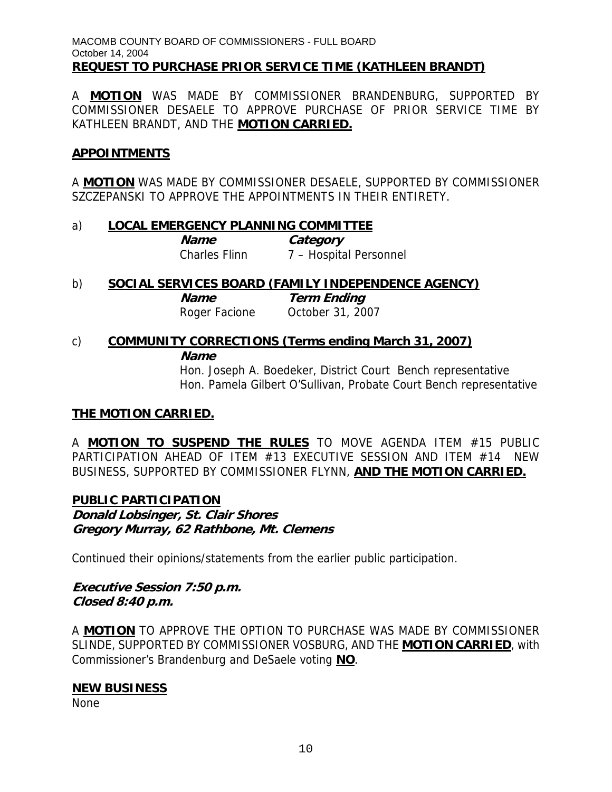A **MOTION** WAS MADE BY COMMISSIONER BRANDENBURG, SUPPORTED BY COMMISSIONER DESAELE TO APPROVE PURCHASE OF PRIOR SERVICE TIME BY KATHLEEN BRANDT, AND THE **MOTION CARRIED.**

### **APPOINTMENTS**

A **MOTION** WAS MADE BY COMMISSIONER DESAELE, SUPPORTED BY COMMISSIONER SZCZEPANSKI TO APPROVE THE APPOINTMENTS IN THEIR ENTIRETY.

### a) **LOCAL EMERGENCY PLANNING COMMITTEE**

**Name Category** Charles Flinn 7 – Hospital Personnel

b) **SOCIAL SERVICES BOARD (FAMILY INDEPENDENCE AGENCY) Name Term Ending** Roger Facione October 31, 2007

# c) **COMMUNITY CORRECTIONS (Terms ending March 31, 2007) Name**

 Hon. Joseph A. Boedeker, District Court Bench representative Hon. Pamela Gilbert O'Sullivan, Probate Court Bench representative

### **THE MOTION CARRIED.**

A **MOTION TO SUSPEND THE RULES** TO MOVE AGENDA ITEM #15 PUBLIC PARTICIPATION AHEAD OF ITEM #13 EXECUTIVE SESSION AND ITEM #14 NEW BUSINESS, SUPPORTED BY COMMISSIONER FLYNN, **AND THE MOTION CARRIED.**

### **PUBLIC PARTICIPATION**

**Donald Lobsinger, St. Clair Shores Gregory Murray, 62 Rathbone, Mt. Clemens** 

Continued their opinions/statements from the earlier public participation.

### **Executive Session 7:50 p.m. Closed 8:40 p.m.**

A **MOTION** TO APPROVE THE OPTION TO PURCHASE WAS MADE BY COMMISSIONER SLINDE, SUPPORTED BY COMMISSIONER VOSBURG, AND THE **MOTION CARRIED**, with Commissioner's Brandenburg and DeSaele voting **NO**.

### **NEW BUSINESS**

None